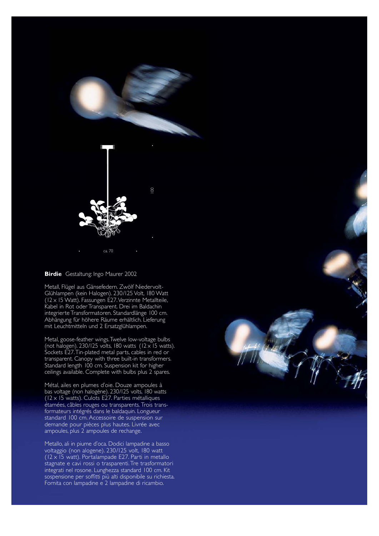

## **Birdie** Gestaltung: Ingo Maurer 2002

Metall, Flügel aus Gänsefedern. Zwölf Niedervolt-Glühlampen (kein Halogen). 230/125 Volt, 180 Watt (12 x 15 Watt). Fassungen E27.Verzinnte Metallteile, Kabel in Rot oder Transparent. Drei im Baldachin integrierte Transformatoren. Standardlänge 100 cm. Abhängung für höhere Räume erhältlich. Lieferung mit Leuchtmitteln und 2 Ersatzglühlampen.

Metal, goose-feather wings.Twelve low-voltage bulbs (not halogen). 230/125 volts, 180 watts (12 x 15 watts). Sockets E27.Tin-plated metal parts, cables in red or transparent. Canopy with three built-in transformers. Standard length 100 cm. Suspension kit for higher ceilings available. Complete with bulbs plus 2 spares.

Métal, ailes en plumes d'oie. Douze ampoules à bas voltage (non halogène). 230/125 volts, 180 watts (12 x 15 watts). Culots E27. Parties métalliques étamées, câbles rouges ou transparents. Trois transformateurs intégrés dans le baldaquin. Longueur standard 100 cm. Accessoire de suspension sur demande pour pièces plus hautes. Livrée avec ampoules, plus 2 ampoules de rechange.

Metallo, ali in piume d'oca. Dodici lampadine a basso voltaggio (non alogene). 230/125 volt, 180 watt (12 x 15 watt). Portalampade E27. Parti in metallo stagnate e cavi rossi o trasparenti.Tre trasformatori integrati nel rosone. Lunghezza standard 100 cm. Kit sospensione per soffitti più alti disponibile su richiesta. Fornita con lampadine e 2 lampadine di ricambio.